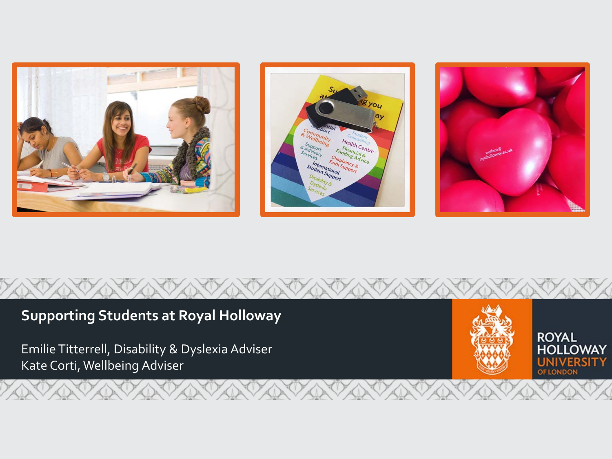





#### **Supporting Students at Royal Holloway ROYAL** Emilie Titterrell, Disability & Dyslexia Adviser **HOLLOWAY** Kate Corti, Wellbeing Adviser UNIVERSITY OF LONDON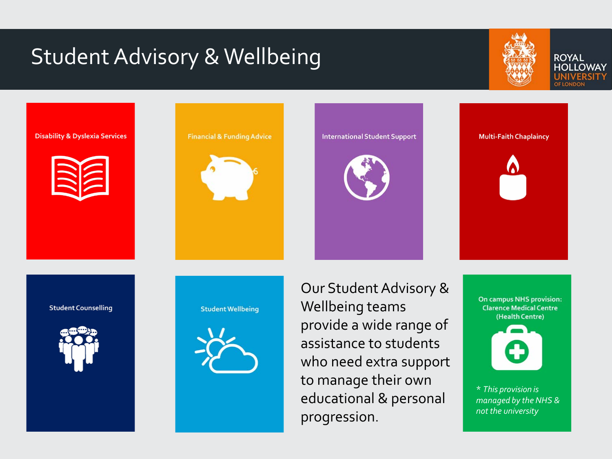#### Student Advisory & Wellbeing



**ROYAL HOLLOWAY** 

#### **Disability & Dyslexia Services**



**Financial & Funding Advice** 



**International Student Support** 



**Multi-Faith Chaplaincy** 



**Student Counselling** 



**Student Wellbeing** 



Our Student Advisory & Wellbeing teams provide a wide range of assistance to students who need extra support to manage their own educational & personal progression.

**On campus NHS provision: Clarence Medical Centre** (Health Centre)



\* *This provision is managed by the NHS & not the university*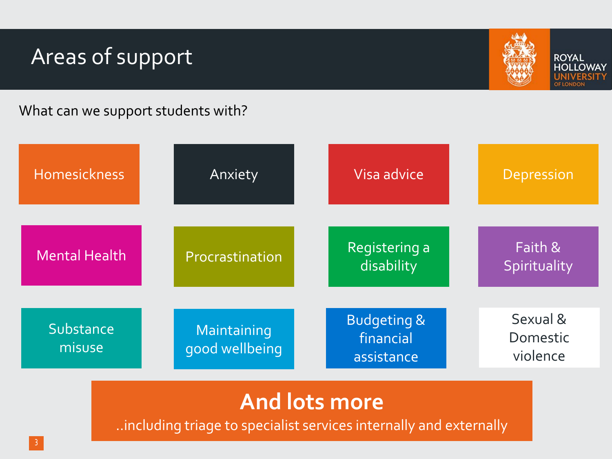#### Areas of support



**ROYAL HOLLOWAY IITY** 

What can we support students with?

| <b>Homesickness</b>  | Anxiety                       | Visa advice                                       | Depression                       |
|----------------------|-------------------------------|---------------------------------------------------|----------------------------------|
| <b>Mental Health</b> | Procrastination               | Registering a<br>disability                       | Faith &<br>Spirituality          |
| Substance<br>misuse  | Maintaining<br>good wellbeing | <b>Budgeting &amp;</b><br>financial<br>assistance | Sexual &<br>Domestic<br>violence |

#### **And lots more**

..including triage to specialist services internally and externally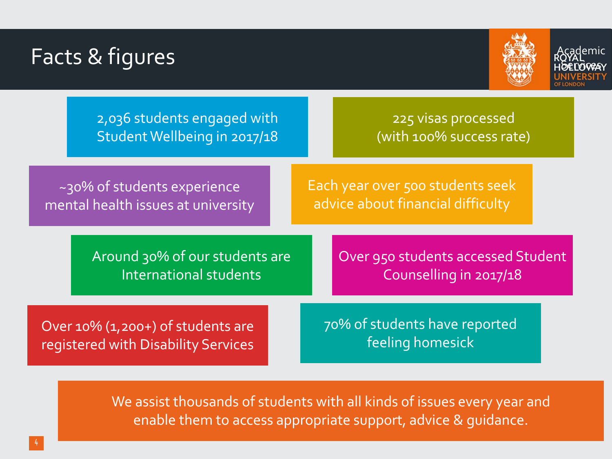### Facts & figures Academic Academic Contracts of the Research of the Research of the Research of the Research of the Research of the Research of the Research of the Research of the Research of the Research of the Research of



**OELOVEA** 

|                                                                             | 2,036 students engaged with<br>Student Wellbeing in 2017/18 |  |                                                                       | 225 visas processed<br>(with 100% success rate)              |  |
|-----------------------------------------------------------------------------|-------------------------------------------------------------|--|-----------------------------------------------------------------------|--------------------------------------------------------------|--|
| ~30% of students experience<br>mental health issues at university           |                                                             |  | Each year over 500 students seek<br>advice about financial difficulty |                                                              |  |
| Around 30% of our students are<br>International students                    |                                                             |  |                                                                       | Over 950 students accessed Student<br>Counselling in 2017/18 |  |
| Over $10\%$ (1,200+) of students are<br>registered with Disability Services |                                                             |  |                                                                       | 70% of students have reported<br>feeling homesick            |  |

We assist thousands of students with all kinds of issues every year and enable them to access appropriate support, advice & guidance.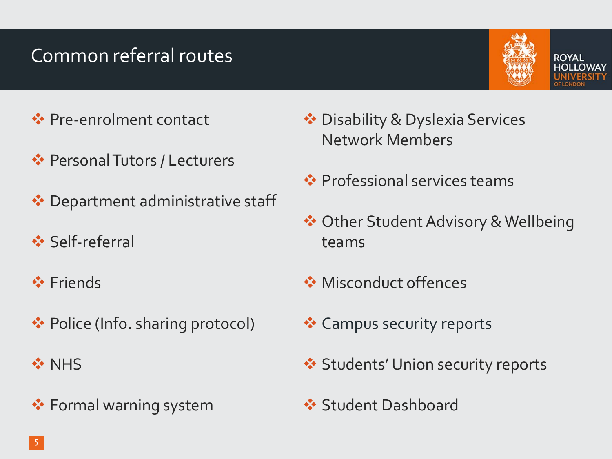#### Common referral routes



ROYAL

- **◆ Pre-enrolment contact**
- **Exercise Personal Tutors / Lecturers**
- ◆ Department administrative staff
- Self-referral
- **❖** Friends
- ◆ Police (Info. sharing protocol)
- **☆ NHS**
- **❖ Formal warning system**
- ◆ Disability & Dyslexia Services Network Members
- **<sup>◆</sup>** Professional services teams
- ◆ Other Student Advisory & Wellbeing teams
- **◆ Misconduct offences**
- **Exercise** Campus security reports
- **❖ Students' Union security reports**
- **Student Dashboard**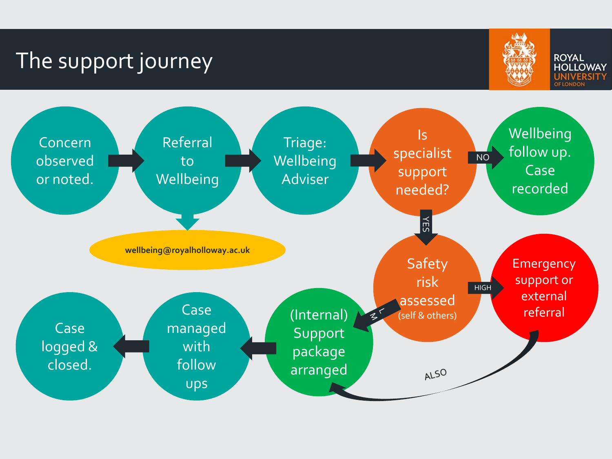#### The support journey



**ROYAL HOLLOWAY** UNIVERSITY **OF LONDON** 

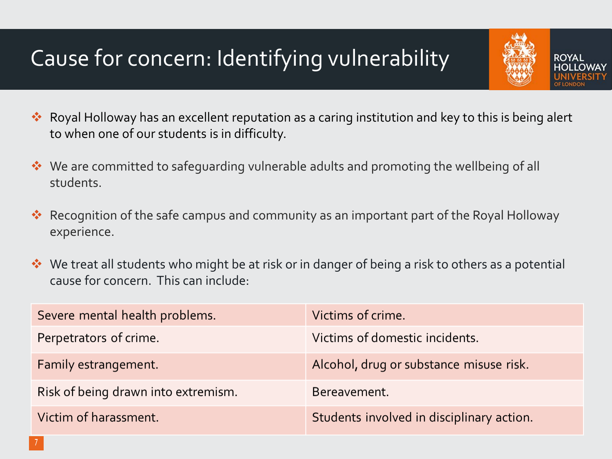## Cause for concern: Identifying vulnerability

\* Royal Holloway has an excellent reputation as a caring institution and key to this is being alert to when one of our students is in difficulty.

**ROYAL** 

- ◆ We are committed to safeguarding vulnerable adults and promoting the wellbeing of all students.
- Recognition of the safe campus and community as an important part of the Royal Holloway experience.
- ◆ We treat all students who might be at risk or in danger of being a risk to others as a potential cause for concern. This can include:

| Severe mental health problems.      | Victims of crime.                         |  |
|-------------------------------------|-------------------------------------------|--|
| Perpetrators of crime.              | Victims of domestic incidents.            |  |
| Family estrangement.                | Alcohol, drug or substance misuse risk.   |  |
| Risk of being drawn into extremism. | Bereavement.                              |  |
| Victim of harassment.               | Students involved in disciplinary action. |  |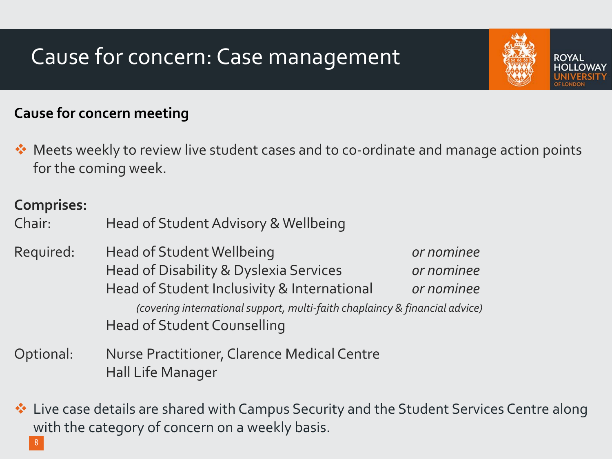## Cause for concern: Case management

#### **Cause for concern meeting**

◆ Meets weekly to review live student cases and to co-ordinate and manage action points for the coming week.

**ROYAL** 

#### **Comprises:**

Chair: Head of Student Advisory & Wellbeing

- Required: Head of Student Wellbeing *or nominee*  Head of Disability & Dyslexia Services *or nominee* Head of Student Inclusivity & International *or nominee (covering international support, multi-faith chaplaincy & financial advice)* Head of Student Counselling
- Optional: Nurse Practitioner, Clarence Medical Centre Hall Life Manager
- $\triangleq$  Live case details are shared with Campus Security and the Student Services Centre along with the category of concern on a weekly basis.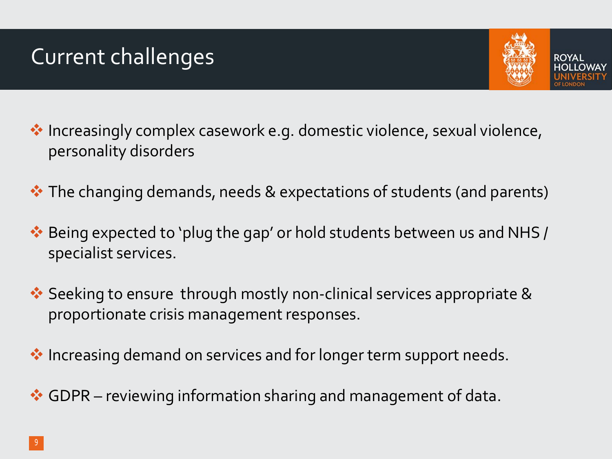### Current challenges



- ◆ Increasingly complex casework e.g. domestic violence, sexual violence, personality disorders
- $\cdot$  The changing demands, needs & expectations of students (and parents)
- Being expected to 'plug the gap' or hold students between us and NHS / specialist services.
- ◆ Seeking to ensure through mostly non-clinical services appropriate & proportionate crisis management responses.
- ◆ Increasing demand on services and for longer term support needs.
- ◆ GDPR reviewing information sharing and management of data.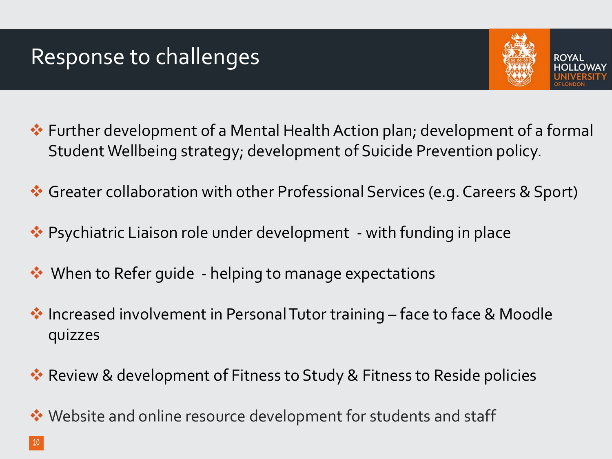#### Response to challenges



- Further development of a Mental Health Action plan; development of a formal Student Wellbeing strategy; development of Suicide Prevention policy.
- Greater collaboration with other Professional Services (e.g. Careers & Sport)
- ◆ Psychiatric Liaison role under development with funding in place
- ◆ When to Refer guide helping to manage expectations
- ◆ Increased involvement in Personal Tutor training face to face & Moodle quizzes
- ◆ Review & development of Fitness to Study & Fitness to Reside policies
- ◆ Website and online resource development for students and staff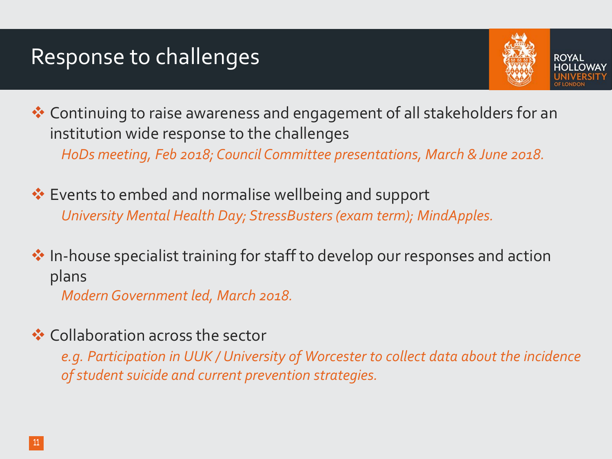#### Response to challenges



◆ Continuing to raise awareness and engagement of all stakeholders for an institution wide response to the challenges *HoDs meeting, Feb 2018; Council Committee presentations, March & June 2018.*

**Events to embed and normalise wellbeing and support** *University Mental Health Day; StressBusters (exam term); MindApples.*

 $\cdot$  In-house specialist training for staff to develop our responses and action plans *Modern Government led, March 2018.*

**❖ Collaboration across the sector** 

*e.g. Participation in UUK / University of Worcester to collect data about the incidence of student suicide and current prevention strategies.*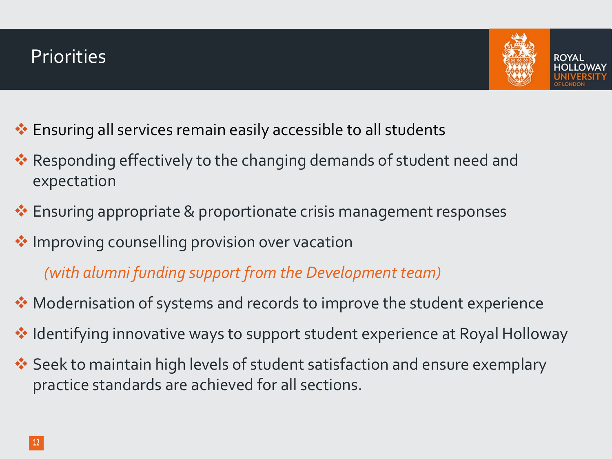

- Ensuring all services remain easily accessible to all students
- \* Responding effectively to the changing demands of student need and expectation
- $\cdot$  Ensuring appropriate & proportionate crisis management responses
- **Improving counselling provision over vacation**

*(with alumni funding support from the Development team)*

- ◆ Modernisation of systems and records to improve the student experience
- ◆ Identifying innovative ways to support student experience at Royal Holloway
- **Seek to maintain high levels of student satisfaction and ensure exemplary** practice standards are achieved for all sections.